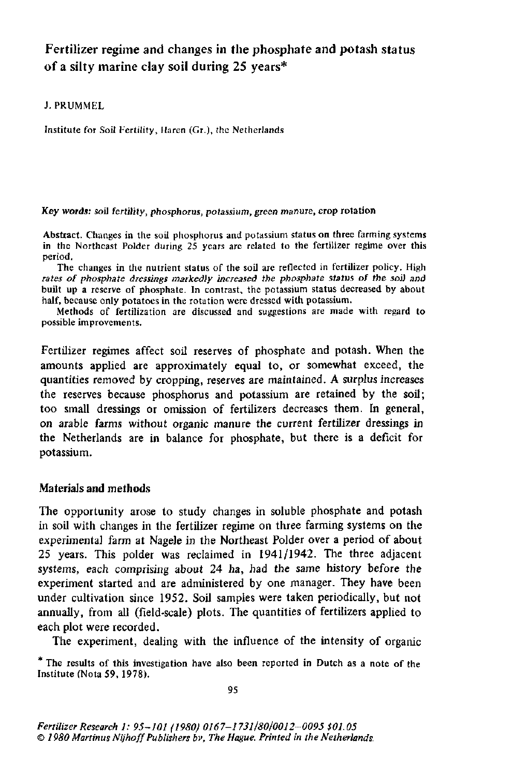# **Fertilizer regime and changes in the phosphate and potash status of a silty marine clay soil during 25 years\***

J. PRUMMEL

Institute for Soil Fertility, Haren (Gr.), the Netherlands

#### **Key** *words:* soil fertility, *phosphorus, potassium, green manure,* crop rotation

**Abstract.** Changes in the soil phosphorus and potassium status on three farming systems in the Northeast Polder during 25 years are related to the fertilizer regime over this period.

The changes in the nutrient status of the soil are reflected in fertilizer policy. High *rates of phosphate dressings marked}}' increased the phosphate status of the* soi) *and*  built up a reserve of phosphate. In contrast, the potassium status decreased by about half, because only potatoes in the rotation were dressed with potassium.

Methods of fertilization are discussed and suggestions are made with regard to possible improvements.

Fertilizer regimes affect soil reserves of phosphate and potash. When the amounts applied are approximately equal to, or somewhat exceed, the quantities removed by cropping, reserves are maintained. A surplus increases the reserves because phosphorus and potassium are retained by the soil; too small dressings or omission of fertilizers decreases them. In general, on arable farms without organic manure the current fertilizer dressings in the Netherlands are in balance for phosphate, but there is a deficit for potassium.

## **Materials and methods**

The opportunity arose to study changes in soluble phosphate and potash in soil with changes in the fertilizer regime on three farming systems on the experimental farm at Nagele in the Northeast Polder over a period of about 25 years. This polder was reclaimed in 1941/1942. The three adjacent systems, each comprising about 24 ha, had the same history before the experiment started and are administered by one manager. They have been under cultivation since 1952. Soil samples were taken periodically, but not annually, from all (field-scale) plots. The quantities of fertilizers applied to each plot were recorded.

The experiment, dealing with the influence of the intensity of organic

The results of this investigation have also been reported in Dutch as a note of the Institute (Nota 59, 1978).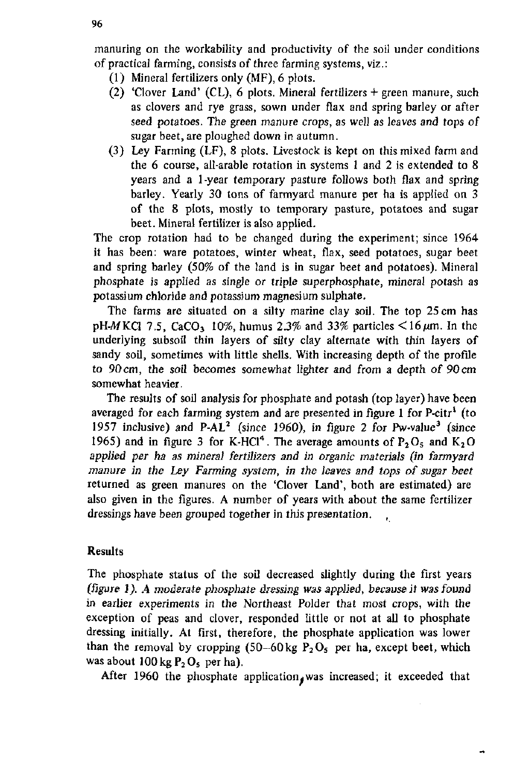manuring on the workability and productivity of the soil under conditions of practical farming, consists of three farming systems, viz.:

- (1) Mineral fertilizers only (MF), 6 plots.
- (2) 'Clover Land' (CL), 6 plots. Mineral fertilizers + green manure, such as clovers and rye grass, sown under flax and spring barley or after seed potatoes. The green manure crops, as well as leaves and tops *of*  sugar beet, are ploughed down in autumn.
- (3) Ley Farming (LF), 8 plots. Livestock is kept on this mixed farm and the 6 course, all-arable rotation in systems 1 and 2 is extended to 8 years and a 1-year temporary pasture follows both flax and spring barley. Yearly 30 tons of farmyard manure per ha is applied on 3 of the 8 plots, mostly to temporary pasture, potatoes and sugar beet. Mineral fertilizer is also applied.

The crop rotation had to be changed during the experiment; since 1964 it has been: ware potatoes, winter wheat, flax, seed potatoes, sugar beet and spring barley (50% of the land is in sugar beet and potatoes). Mineral phosphate is applied as single or triple superphosphate, mineral potash as potassium chloride and potassium magnesium sulphate.

The farms are situated on a silty marine clay soil. The top 25 cm has pH-MKCl 7.5, CaCO<sub>3</sub> 10%, humus 2.3% and 33% particles  $\leq$ 16  $\mu$ m. In the underlying subsoil thin layers of silty clay alternate with thin layers of sandy soil, sometimes with little shells. With increasing depth of the profile to 90 cm, the soil becomes somewhat lighter and from a depth of 90 cm somewhat heavier.

The results of soil analysis for phosphate and potash (top layer) have been averaged for each farming system and are presented in figure 1 for P-1957 inclusive) and  $P-AL^2$  (since 1960), in figure 2 for Pw-value<sup>3</sup> 1965) and in figure 3 for K-HCl<sup>4</sup>. The average amounts of  $P_2O_5$  a *applied per ha as mineral fertilizers and in organic materials (in farmyard manure in the Ley Farming system, in the leaves and tops of sugar beet*  returned as green manures on the 'Clover Land', both are estimated) are also given in the figures. A number of years with about the same fertilizer dressings have been grouped together in this presentation. ,

## Results

The phosphate status of the soil decreased slightly during the first years *(figure 1). A moderate phosphate dressing was applied, because it was found*  in earlier experiments in the Northeast Polder that most crops, with the exception of peas and clover, responded little or not at all to phosphate dressing initially. At first, therefore, the phosphate application was lower than the removal by cropping  $(50-60 \text{ kg } P_2O_5)$  per ha, except beet was about  $100 \text{ kg} \cdot P_2 O_5$  per

After 1960 the phosphate application, was increased; it exceeded that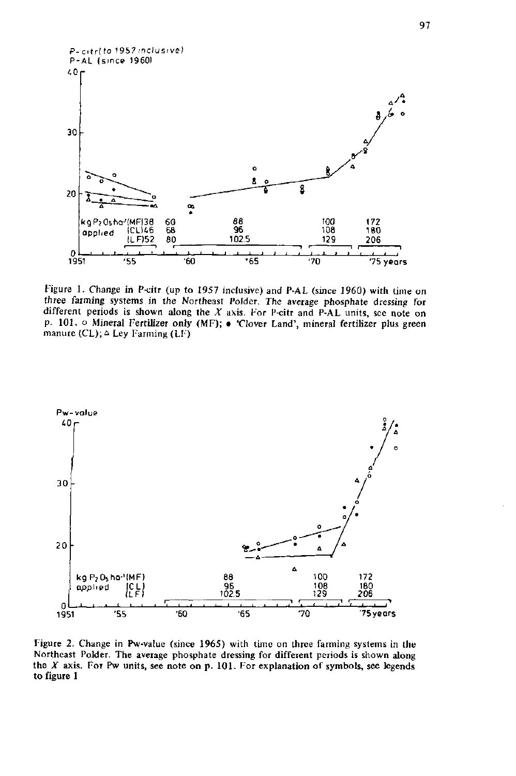

figure 1. Change in P-citr (up to 1957 inclusive) and P-AL (since 1960) with time on three farming systems in the Northeast Polder. The average phosphate dressing for different periods is shown along the *X* axis. For P-citr and P-AL units, see note on p. 101. o Mineral Fertilizer only (MF); • 'Clover Land', mineral fertilizer plus green manure  $(CL)$ ;  $\triangle$  Ley Farming  $(LF)$ 



Figure 2. Change in Pw-value (since 1965) with time on three farming systems in the Northeast Polder. The average phosphate dressing for different periods is shown along the *X* axis. For Pw units, see note on p. 101. For explanation of symbols, see legends to figure 1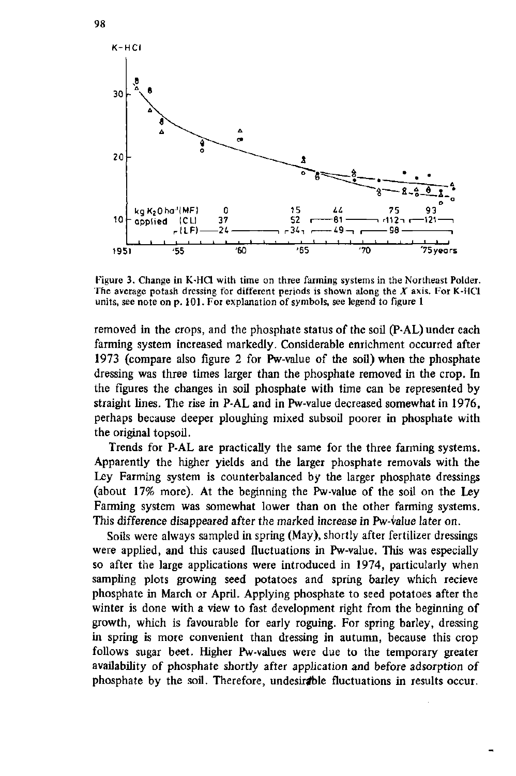

Figure 3. Change in K-HCI with time on three farming systems in the Northeast Polder. The average potash dressing for different periods is shown along the *X* axis. For K-HCI units, see note on p. 101. For explanation of symbols, see legend to figure 1

removed in the crops, and the phosphate status of the soil (P-AL) under each farming system increased markedly. Considerable enrichment occurred after 1973 (compare also figure 2 for Pw-value of the soil) when the phosphate dressing was three times larger than the phosphate removed in the crop. In the figures the changes in soil phosphate with time can be represented by straight lines. The rise in P-AL and in Pw-value decreased somewhat in 1976, perhaps because deeper ploughing mixed subsoil poorer in phosphate with the original topsoil.

Trends for P-AL are practically the same for the three farming systems. Apparently the higher yields and the larger phosphate removals with the Ley Farming system is counterbalanced by the larger phosphate dressings (about 17% more). At the beginning the Pw-value of the soil on the Ley Farming system was somewhat lower than on the other farming systems. This difference disappeared after the marked increase in Pw-value later on.

Soils were always sampled in spring (May), shortly after fertilizer dressings were applied, and this caused fluctuations in Pw-value. This was especially so after the large applications were introduced in 1974, particularly when sampling plots growing seed potatoes and spring barley which recieve phosphate in March or April. Applying phosphate to seed potatoes after the winter is done with a view to fast development right from the beginning of growth, which is favourable for early roguing. For spring barley, dressing in spring is more convenient than dressing in autumn, because this crop follows sugar beet. Higher Pw-values were due to the temporary greater availability of phosphate shortly after application and before adsorption of phosphate by the soil. Therefore, undesirable fluctuations in results occur.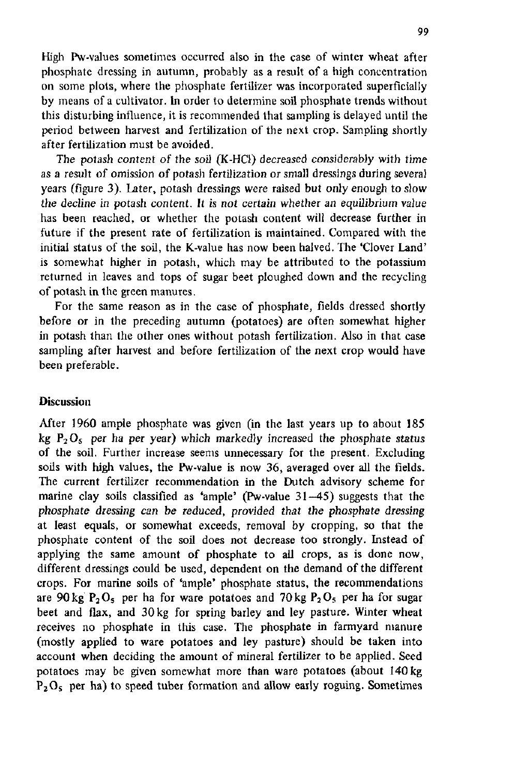High Pw-values sometimes occurred also in the case of winter wheat after phosphate dressing in autumn, probably as a result of a high concentration on some plots, where the phosphate fertilizer was incorporated superficially by means of a cultivator. In order to determine soil phosphate trends without this disturbing influence, it is recommended that sampling is delayed until the period between harvest and fertilization of the next crop. Sampling shortly after fertilization must be avoided.

The potash *content of the* soil (K-HQ) decreased considerably with time as a result of omission of potash fertilization or small dressings during several years (figure 3). Later, potash dressings were raised but only enough to slow the decline in potash content. It is not certain whether an equilibrium value has been reached, or whether the potash content will decrease further in future if the present rate of fertilization is maintained. Compared with the initial status of the soil, the K-value has now been halved. The 'Clover Land' is somewhat higher in potash, which may be attributed to the potassium returned in leaves and tops of sugar beet ploughed down and the recycling of potash in the green manures.

For the same reason as in the case of phosphate, fields dressed shortly before or in the preceding autumn (potatoes) are often somewhat higher in potash than the other ones without potash fertilization. Also in that case sampling after harvest and before fertilization of the next crop would have been preferable.

#### Discussion

After 1960 ample phosphate was given (in the last years up to about 185 kg P2O<sup>s</sup> per ha per year) which markedly increased the phosphate *status*  of the soil. Further increase seems unnecessary for the present. Excluding soils with high values, the Pw-value is now 36, averaged over all the fields. The current fertilizer recommendation in the Dutch advisory scheme for marine clay soils classified as 'ample' (Pw-value 31—45) suggests that the *phosphate dressing can be reduced, provided that the phosphate dressing*  at least equals, or somewhat exceeds, removal by cropping, so that the phosphate content of the soil does not decrease too strongly. Instead of applying the same amount of phosphate to all crops, as is done now, different dressings could be used, dependent on the demand of the different crops. For marine soils of 'ample' phosphate status, the recommendations are 90 kg  $P_2O_5$  per ha for ware potatoes and 70 kg  $P_2O_5$  per ha for sugar beet and flax, and 30 kg for spring barley and ley pasture. Winter wheat receives no phosphate in this case. The phosphate in farmyard manure (mostly applied to ware potatoes and ley pasture) should be taken into account when deciding the amount of mineral fertilizer to be applied. Seed potatoes may be given somewhat more than ware potatoes (about 140 kg  $P_2 O_5$  per ha) to speed tuber formation and allow early roguing. Sometimes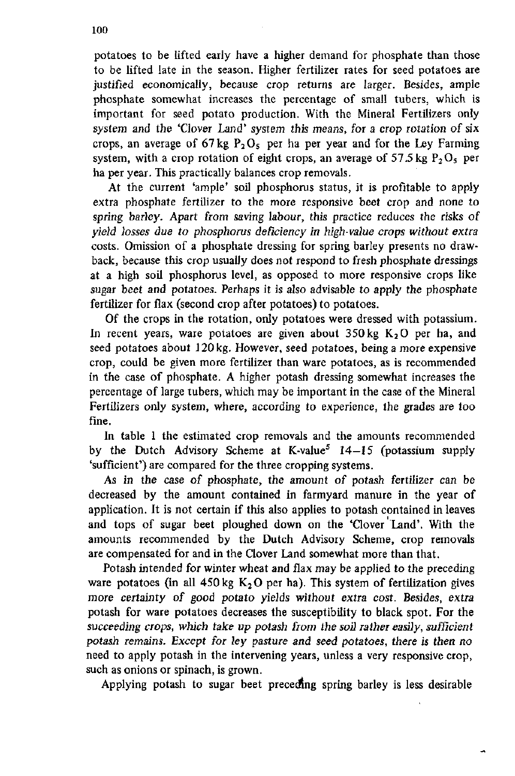potatoes to be lifted early have a higher demand for phosphate than those to be lifted late in the season. Higher fertilizer rates for seed potatoes are justified economically, because crop returns are larger. Besides, ample phosphate somewhat increases the percentage of small tubers, which is important for seed potato production. With the Mineral Fertilizers only system and the 'Clover Land' system this means, for a *crop* rotation of six crops, an average of  $67 \text{ kg}$   $P_2 O_5$  per ha per year and for the Ley Farming system, with a crop rotation of eight crops, an average of 57.5 kg  $P_2O_5$  per ha per year. This practically balances crop removals.

At the current 'ample' soil phosphorus status, it is profitable to apply extra phosphate fertilizer to the more responsive beet crop and none to spring barley. Apart from saving labour, this practice reduces the risks of *yield losses due to phosphorus deficiency in high-value crops without extra*  costs. Omission of a phosphate dressing for spring barley presents no drawback, because this crop usually does not respond to fresh phosphate dressings at a high soil phosphorus level, as opposed to more responsive crops like sugar beet and potatoes. Perhaps it is also advisable to apply the phosphate fertilizer for flax (second crop after potatoes) to potatoes.

Of the crops in the rotation, only potatoes were dressed with potassium. In recent years, ware potatoes are given about  $350 \text{ kg } K<sub>2</sub>O$  per ha, and seed potatoes about 120 kg. However, seed potatoes, being a more expensive crop, could be given more fertilizer than ware potatoes, as is recommended in the case of phosphate. A higher potash dressing somewhat increases the percentage of large tubers, which may be important in the case of the Mineral Fertilizers only system, where, according to experience, the grades are too fine.

In table 1 the estimated crop removals and the amounts recommended by the Dutch Advisory Scheme at K-value<sup>5</sup> 14–15 (potassium s 'sufficient') are compared for the three cropping systems.

As in the case of phosphate, the amount of potash fertilizer can be decreased by the amount contained in farmyard manure in the year of application. It is not certain if this also applies to potash contained in leaves and tops of sugar beet ploughed down on the 'Clover' Land'. With the amounts recommended by the Dutch Advisory Scheme, crop removals are compensated for and in the Clover Land somewhat more than that.

Potash intended for winter wheat and flax may be applied to the preceding ware potatoes (in all  $450 \text{ kg } K_2O$  per ha). This system of fertilization gives more certainty of good potato yields without extra *cost. Besides, extra*  potash for ware potatoes decreases the susceptibility to black spot. For the succeeding crops, which take up potash from the soil rather easily, sufficient *potash remains. Except for ley pasture and seed potatoes, there is then no*  need to apply potash in the intervening years, unless a very responsive crop, such as onions or spinach, is grown.

Applying potash to sugar beet preceding spring barley is less desirable